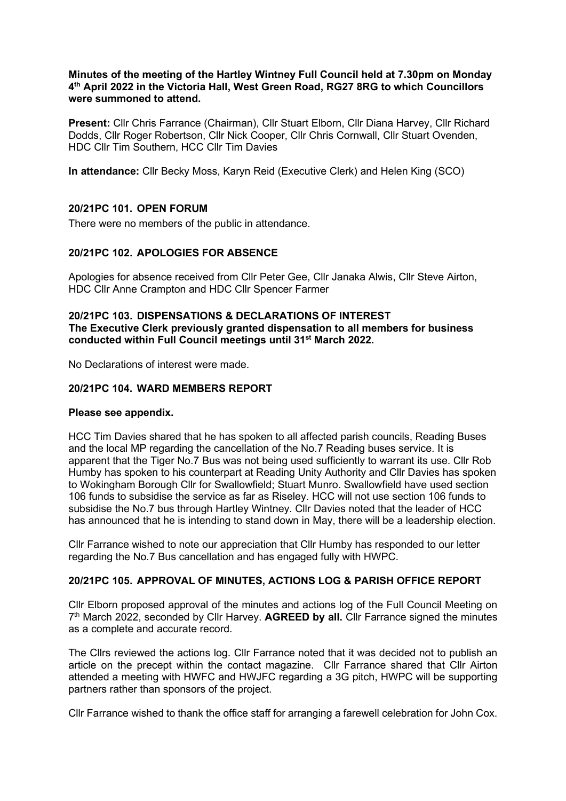#### **Minutes of the meeting of the Hartley Wintney Full Council held at 7.30pm on Monday 4th April 2022 in the Victoria Hall, West Green Road, RG27 8RG to which Councillors were summoned to attend.**

**Present:** Cllr Chris Farrance (Chairman), Cllr Stuart Elborn, Cllr Diana Harvey, Cllr Richard Dodds, Cllr Roger Robertson, Cllr Nick Cooper, Cllr Chris Cornwall, Cllr Stuart Ovenden, HDC Cllr Tim Southern, HCC Cllr Tim Davies

**In attendance:** Cllr Becky Moss, Karyn Reid (Executive Clerk) and Helen King (SCO)

# **20/21PC 101. OPEN FORUM**

There were no members of the public in attendance.

# **20/21PC 102. APOLOGIES FOR ABSENCE**

Apologies for absence received from Cllr Peter Gee, Cllr Janaka Alwis, Cllr Steve Airton, HDC Cllr Anne Crampton and HDC Cllr Spencer Farmer

## **20/21PC 103. DISPENSATIONS & DECLARATIONS OF INTEREST The Executive Clerk previously granted dispensation to all members for business conducted within Full Council meetings until 31st March 2022.**

No Declarations of interest were made.

#### **20/21PC 104. WARD MEMBERS REPORT**

#### **Please see appendix.**

HCC Tim Davies shared that he has spoken to all affected parish councils, Reading Buses and the local MP regarding the cancellation of the No.7 Reading buses service. It is apparent that the Tiger No.7 Bus was not being used sufficiently to warrant its use. Cllr Rob Humby has spoken to his counterpart at Reading Unity Authority and Cllr Davies has spoken to Wokingham Borough Cllr for Swallowfield; Stuart Munro. Swallowfield have used section 106 funds to subsidise the service as far as Riseley. HCC will not use section 106 funds to subsidise the No.7 bus through Hartley Wintney. Cllr Davies noted that the leader of HCC has announced that he is intending to stand down in May, there will be a leadership election.

Cllr Farrance wished to note our appreciation that Cllr Humby has responded to our letter regarding the No.7 Bus cancellation and has engaged fully with HWPC.

# **20/21PC 105. APPROVAL OF MINUTES, ACTIONS LOG & PARISH OFFICE REPORT**

Cllr Elborn proposed approval of the minutes and actions log of the Full Council Meeting on 7th March 2022, seconded by Cllr Harvey. **AGREED by all.** Cllr Farrance signed the minutes as a complete and accurate record.

The Cllrs reviewed the actions log. Cllr Farrance noted that it was decided not to publish an article on the precept within the contact magazine. Cllr Farrance shared that Cllr Airton attended a meeting with HWFC and HWJFC regarding a 3G pitch, HWPC will be supporting partners rather than sponsors of the project.

Cllr Farrance wished to thank the office staff for arranging a farewell celebration for John Cox.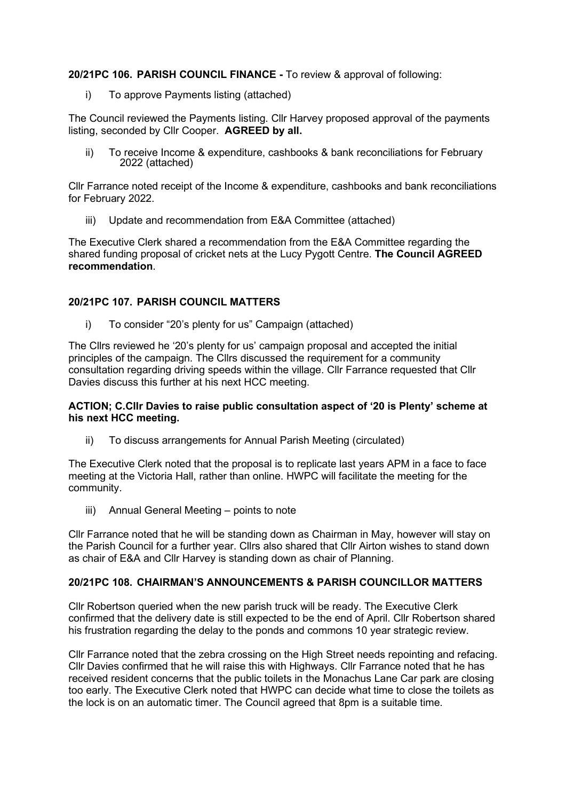**20/21PC 106. PARISH COUNCIL FINANCE -** To review & approval of following:

i) To approve Payments listing (attached)

The Council reviewed the Payments listing. Cllr Harvey proposed approval of the payments listing, seconded by Cllr Cooper. **AGREED by all.**

ii) To receive Income & expenditure, cashbooks & bank reconciliations for February 2022 (attached)

Cllr Farrance noted receipt of the Income & expenditure, cashbooks and bank reconciliations for February 2022.

iii) Update and recommendation from E&A Committee (attached)

The Executive Clerk shared a recommendation from the E&A Committee regarding the shared funding proposal of cricket nets at the Lucy Pygott Centre. **The Council AGREED recommendation**.

# **20/21PC 107. PARISH COUNCIL MATTERS**

i) To consider "20's plenty for us" Campaign (attached)

The Cllrs reviewed he '20's plenty for us' campaign proposal and accepted the initial principles of the campaign. The Cllrs discussed the requirement for a community consultation regarding driving speeds within the village. Cllr Farrance requested that Cllr Davies discuss this further at his next HCC meeting.

#### **ACTION; C.Cllr Davies to raise public consultation aspect of '20 is Plenty' scheme at his next HCC meeting.**

ii) To discuss arrangements for Annual Parish Meeting (circulated)

The Executive Clerk noted that the proposal is to replicate last years APM in a face to face meeting at the Victoria Hall, rather than online. HWPC will facilitate the meeting for the community.

iii) Annual General Meeting – points to note

Cllr Farrance noted that he will be standing down as Chairman in May, however will stay on the Parish Council for a further year. Cllrs also shared that Cllr Airton wishes to stand down as chair of E&A and Cllr Harvey is standing down as chair of Planning.

# **20/21PC 108. CHAIRMAN'S ANNOUNCEMENTS & PARISH COUNCILLOR MATTERS**

Cllr Robertson queried when the new parish truck will be ready. The Executive Clerk confirmed that the delivery date is still expected to be the end of April. Cllr Robertson shared his frustration regarding the delay to the ponds and commons 10 year strategic review.

Cllr Farrance noted that the zebra crossing on the High Street needs repointing and refacing. Cllr Davies confirmed that he will raise this with Highways. Cllr Farrance noted that he has received resident concerns that the public toilets in the Monachus Lane Car park are closing too early. The Executive Clerk noted that HWPC can decide what time to close the toilets as the lock is on an automatic timer. The Council agreed that 8pm is a suitable time.